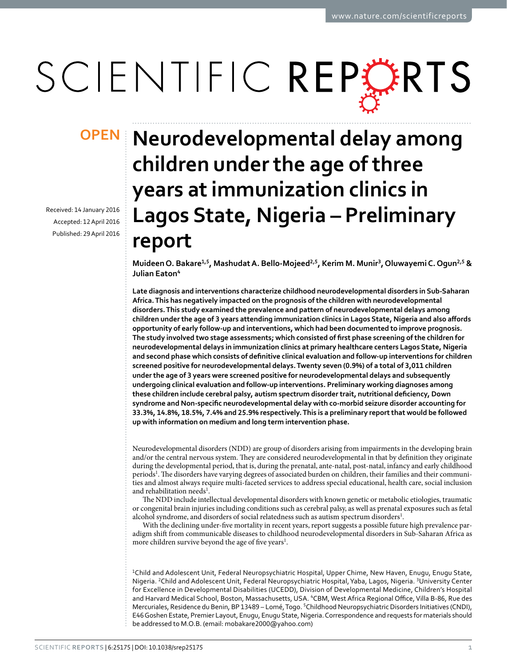# SCIENTIFIC REPERTS

Received: 14 January 2016 accepted: 12 April 2016 Published: 29 April 2016

## **Neurodevelopmental delay among OPENchildren under the age of three years at immunization clinics in Lagos State, Nigeria – Preliminary report**

Muideen O. Bakare<sup>1,5</sup>, Mashudat A. Bello-Mojeed<sup>2,5</sup>, Kerim M. Munir<sup>3</sup>, Oluwayemi C. Oqun<sup>2,5</sup> & **Julian Eaton<sup>4</sup>**

**Late diagnosis and interventions characterize childhood neurodevelopmental disorders in Sub-Saharan Africa. This has negatively impacted on the prognosis of the children with neurodevelopmental disorders. This study examined the prevalence and pattern of neurodevelopmental delays among children under the age of 3 years attending immunization clinics in Lagos State, Nigeria and also affords opportunity of early follow-up and interventions, which had been documented to improve prognosis. The study involved two stage assessments; which consisted of first phase screening of the children for neurodevelopmental delays in immunization clinics at primary healthcare centers Lagos State, Nigeria and second phase which consists of definitive clinical evaluation and follow-up interventions for children screened positive for neurodevelopmental delays. Twenty seven (0.9%) of a total of 3,011 children under the age of 3 years were screened positive for neurodevelopmental delays and subsequently undergoing clinical evaluation and follow-up interventions. Preliminary working diagnoses among these children include cerebral palsy, autism spectrum disorder trait, nutritional deficiency, Down syndrome and Non-specific neurodevelopmental delay with co-morbid seizure disorder accounting for 33.3%, 14.8%, 18.5%, 7.4% and 25.9% respectively. This is a preliminary report that would be followed up with information on medium and long term intervention phase.**

Neurodevelopmental disorders (NDD) are group of disorders arising from impairments in the developing brain and/or the central nervous system. They are considered neurodevelopmental in that by definition they originate during the developmental period, that is, during the prenatal, ante-natal, post-natal, infancy and early childhood periods<sup>[1](#page-3-0)</sup>. The disorders have varying degrees of associated burden on children, their families and their communities and almost always require multi-faceted services to address special educational, health care, social inclusion and rehabilitation needs<sup>[1](#page-3-0)</sup>.

The NDD include intellectual developmental disorders with known genetic or metabolic etiologies, traumatic or congenital brain injuries including conditions such as cerebral palsy, as well as prenatal exposures such as fetal alcohol syndrome, and disorders of social relatedness such as autism spectrum disorders<sup>[1](#page-3-0)</sup>.

With the declining under-five mortality in recent years, report suggests a possible future high prevalence paradigm shift from communicable diseases to childhood neurodevelopmental disorders in Sub-Saharan Africa as more children survive beyond the age of five years<sup>[1](#page-3-0)</sup>.

<sup>1</sup>Child and Adolescent Unit, Federal Neuropsychiatric Hospital, Upper Chime, New Haven, Enugu, Enugu State, Nigeria. <sup>2</sup>Child and Adolescent Unit, Federal Neuropsychiatric Hospital, Yaba, Lagos, Nigeria. <sup>3</sup>University Center for Excellence in Developmental Disabilities (UCEDD), Division of Developmental Medicine, Children's Hospital and Harvard Medical School, Boston, Massachusetts, USA. <sup>4</sup>CBM, West Africa Regional Office, Villa B-86, Rue des Mercuriales, Residence du Benin, BP 13489 - Lomé, Togo. <sup>5</sup>Childhood Neuropsychiatric Disorders Initiatives (CNDI), E46 Goshen Estate, Premier Layout, Enugu, Enugu State, Nigeria. Correspondence and requests for materials should be addressed to M.O.B. (email: [mobakare2000@yahoo.com](mailto:mobakare2000@yahoo.com))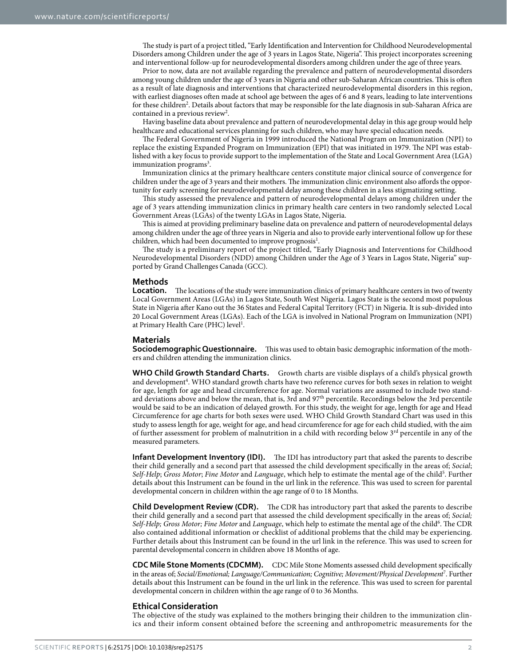The study is part of a project titled, "Early Identification and Intervention for Childhood Neurodevelopmental Disorders among Children under the age of 3 years in Lagos State, Nigeria". This project incorporates screening and interventional follow-up for neurodevelopmental disorders among children under the age of three years.

Prior to now, data are not available regarding the prevalence and pattern of neurodevelopmental disorders among young children under the age of 3 years in Nigeria and other sub-Saharan African countries. This is often as a result of late diagnosis and interventions that characterized neurodevelopmental disorders in this region, with earliest diagnoses often made at school age between the ages of 6 and 8 years, leading to late interventions for these children<sup>[2](#page-3-1)</sup>. Details about factors that may be responsible for the late diagnosis in sub-Saharan Africa are contained in a previous review<sup>[2](#page-3-1)</sup>.

Having baseline data about prevalence and pattern of neurodevelopmental delay in this age group would help healthcare and educational services planning for such children, who may have special education needs.

The Federal Government of Nigeria in 1999 introduced the National Program on Immunization (NPI) to replace the existing Expanded Program on Immunization (EPI) that was initiated in 1979. The NPI was established with a key focus to provide support to the implementation of the State and Local Government Area (LGA) immunization programs<sup>3</sup>.

Immunization clinics at the primary healthcare centers constitute major clinical source of convergence for children under the age of 3 years and their mothers. The immunization clinic environment also affords the opportunity for early screening for neurodevelopmental delay among these children in a less stigmatizing setting.

This study assessed the prevalence and pattern of neurodevelopmental delays among children under the age of 3 years attending immunization clinics in primary health care centers in two randomly selected Local Government Areas (LGAs) of the twenty LGAs in Lagos State, Nigeria.

This is aimed at providing preliminary baseline data on prevalence and pattern of neurodevelopmental delays among children under the age of three years in Nigeria and also to provide early interventional follow up for these children, which had been documented to improve prognosis<sup>[1](#page-3-0)</sup>.

The study is a preliminary report of the project titled, "Early Diagnosis and Interventions for Childhood Neurodevelopmental Disorders (NDD) among Children under the Age of 3 Years in Lagos State, Nigeria" supported by Grand Challenges Canada (GCC).

#### **Methods**

Location. The locations of the study were immunization clinics of primary healthcare centers in two of twenty Local Government Areas (LGAs) in Lagos State, South West Nigeria. Lagos State is the second most populous State in Nigeria after Kano out the 36 States and Federal Capital Territory (FCT) in Nigeria. It is sub-divided into 20 Local Government Areas (LGAs). Each of the LGA is involved in National Program on Immunization (NPI) at Primary Health Care (PHC) level<sup>[1](#page-3-0)</sup>.

#### **Materials**

**Sociodemographic Questionnaire.** This was used to obtain basic demographic information of the mothers and children attending the immunization clinics.

**WHO Child Growth Standard Charts.** Growth charts are visible displays of a child's physical growth and development<sup>4</sup>. WHO standard growth charts have two reference curves for both sexes in relation to weight for age, length for age and head circumference for age. Normal variations are assumed to include two standard deviations above and below the mean, that is, 3rd and 97th percentile. Recordings below the 3rd percentile would be said to be an indication of delayed growth. For this study, the weight for age, length for age and Head Circumference for age charts for both sexes were used. WHO Child Growth Standard Chart was used in this study to assess length for age, weight for age, and head circumference for age for each child studied, with the aim of further assessment for problem of malnutrition in a child with recording below  $3^{rd}$  percentile in any of the measured parameters.

**Infant Development Inventory (IDI).** The IDI has introductory part that asked the parents to describe their child generally and a second part that assessed the child development specifically in the areas of; *Social*; Self-Help; Gross Motor; Fine Motor and *Language*, which help to estimate the mental age of the child<sup>[5](#page-3-4)</sup>. Further details about this Instrument can be found in the url link in the reference. This was used to screen for parental developmental concern in children within the age range of 0 to 18 Months.

**Child Development Review (CDR).** The CDR has introductory part that asked the parents to describe their child generally and a second part that assessed the child development specifically in the areas of; *Social;*  Self-Help; Gross Motor; Fine Motor and Language, which help to estimate the mental age of the child<sup>[6](#page-4-0)</sup>. The CDR also contained additional information or checklist of additional problems that the child may be experiencing. Further details about this Instrument can be found in the url link in the reference. This was used to screen for parental developmental concern in children above 18 Months of age.

**CDC Mile Stone Moments (CDCMM).** CDC Mile Stone Moments assessed child development specifically in the areas of; *Social/Emotional; Language/Communication; Cognitive; Movement/Physical Development*[7](#page-4-1) . Further details about this Instrument can be found in the url link in the reference. This was used to screen for parental developmental concern in children within the age range of 0 to 36 Months.

#### **Ethical Consideration**

The objective of the study was explained to the mothers bringing their children to the immunization clinics and their inform consent obtained before the screening and anthropometric measurements for the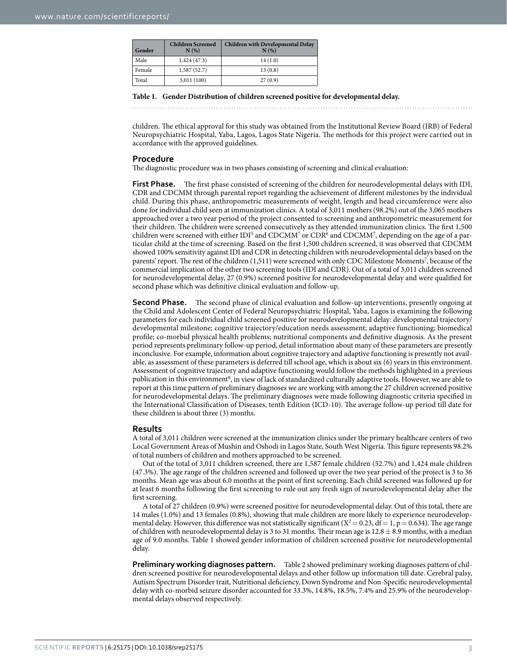<span id="page-2-0"></span>

| Gender | <b>Children Screened</b><br>N(%) | <b>Children with Developmental Delay</b><br>N(% |
|--------|----------------------------------|-------------------------------------------------|
| Male   | 1,424(47.3)                      | 14(1.0)                                         |
| Female | 1,587(52.7)                      | 13(0.8)                                         |
| Total  | 3,011(100)                       | 27(0.9)                                         |

#### **Table 1. Gender Distribution of children screened positive for developmental delay.**

children. The ethical approval for this study was obtained from the Institutional Review Board (IRB) of Federal Neuropsychiatric Hospital, Yaba, Lagos, Lagos State Nigeria. The methods for this project were carried out in accordance with the approved guidelines.

#### **Procedure**

The diagnostic procedure was in two phases consisting of screening and clinical evaluation:

**First Phase.** The first phase consisted of screening of the children for neurodevelopmental delays with IDI, CDR and CDCMM through parental report regarding the achievement of different milestones by the individual child. During this phase, anthropometric measurements of weight, length and head circumference were also done for individual child seen at immunization clinics. A total of 3,011 mothers (98.2%) out of the 3,065 mothers approached over a two year period of the project consented to screening and anthropometric measurement for their children. The children were screened consecutively as they attended immunization clinics. The first 1,500 children were screened with either  $IDI<sup>5</sup>$  $IDI<sup>5</sup>$  $IDI<sup>5</sup>$  and  $CDCMM<sup>7</sup>$  $CDCMM<sup>7</sup>$  $CDCMM<sup>7</sup>$  or  $CDR<sup>6</sup>$  $CDR<sup>6</sup>$  $CDR<sup>6</sup>$  and  $CDCMM<sup>7</sup>$ , depending on the age of a particular child at the time of screening. Based on the first 1,500 children screened, it was observed that CDCMM showed 100% sensitivity against IDI and CDR in detecting children with neurodevelopmental delays based on the parents' report. The rest of the children (1,511) were screened with only CDC Milestone Moments<sup>[7](#page-4-1)</sup>, because of the commercial implication of the other two screening tools (IDI and CDR). Out of a total of 3,011 children screened for neurodevelopmental delay, 27 (0.9%) screened positive for neurodevelopmental delay and were qualified for second phase which was definitive clinical evaluation and follow-up.

**Second Phase.** The second phase of clinical evaluation and follow-up interventions, presently ongoing at the Child and Adolescent Center of Federal Neuropsychiatric Hospital, Yaba, Lagos is examining the following parameters for each individual child screened positive for neurodevelopmental delay: developmental trajectory/ developmental milestone; cognitive trajectory/education needs assessment; adaptive functioning; biomedical profile; co-morbid physical health problems; nutritional components and definitive diagnosis. As the present period represents preliminary follow-up period, detail information about many of these parameters are presently inconclusive. For example, information about cognitive trajectory and adaptive functioning is presently not available, as assessment of these parameters is deferred till school age, which is about six (6) years in this environment. Assessment of cognitive trajectory and adaptive functioning would follow the methods highlighted in a previous publication in this environment<sup>[8](#page-4-2)</sup>, in view of lack of standardized culturally adaptive tools. However, we are able to report at this time pattern of preliminary diagnoses we are working with among the 27 children screened positive for neurodevelopmental delays. The preliminary diagnoses were made following diagnostic criteria specified in the International Classification of Diseases, tenth Edition (ICD-10). The average follow-up period till date for these children is about three (3) months.

#### **Results**

A total of 3,011 children were screened at the immunization clinics under the primary healthcare centers of two Local Government Areas of Mushin and Oshodi in Lagos State, South West Nigeria. This figure represents 98.2% of total numbers of children and mothers approached to be screened.

Out of the total of 3,011 children screened, there are 1,587 female children (52.7%) and 1,424 male children (47.3%). The age range of the children screened and followed up over the two year period of the project is 3 to 36 months. Mean age was about 6.0 months at the point of first screening. Each child screened was followed up for at least 6 months following the first screening to rule out any fresh sign of neurodevelopmental delay after the first screening.

A total of 27 children (0.9%) were screened positive for neurodevelopmental delay. Out of this total, there are 14 males (1.0%) and 13 females (0.8%), showing that male children are more likely to experience neurodevelopmental delay. However, this difference was not statistically significant ( $X^2 = 0.23$ , df = 1, p = 0.634). The age range of children with neurodevelopmental delay is 3 to 31 months. Their mean age is  $12.8 \pm 8.9$  months, with a median age of 9.0 months. [Table 1](#page-2-0) showed gender information of children screened positive for neurodevelopmental delay.

**Preliminary working diagnoses pattern.** [Table 2](#page-3-5) showed preliminary working diagnoses pattern of children screened positive for neurodevelopmental delays and other follow up information till date. Cerebral palsy, Autism Spectrum Disorder trait, Nutritional deficiency, Down Syndrome and Non-Specific neurodevelopmental delay with co-morbid seizure disorder accounted for 33.3%, 14.8%, 18.5%, 7.4% and 25.9% of the neurodevelopmental delays observed respectively.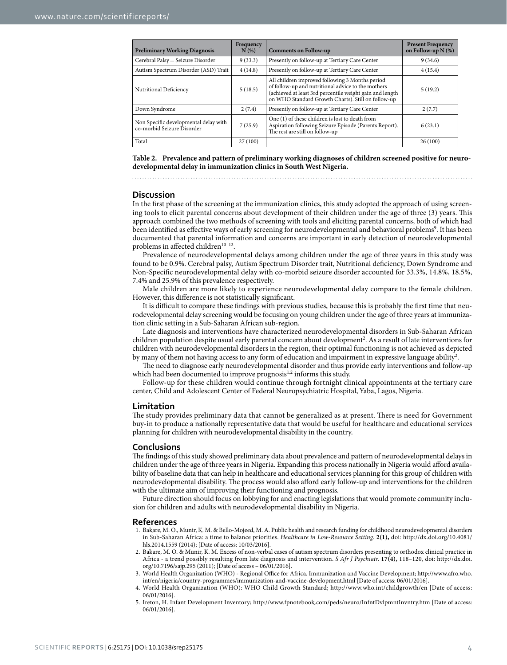<span id="page-3-5"></span>

| <b>Preliminary Working Diagnosis</b>                                | Frequency<br>N(%) | <b>Comments on Follow-up</b>                                                                                                                                                                                            | <b>Present Frequency</b><br>on Follow-up $N(\%)$ |
|---------------------------------------------------------------------|-------------------|-------------------------------------------------------------------------------------------------------------------------------------------------------------------------------------------------------------------------|--------------------------------------------------|
| Cerebral Palsy $\pm$ Seizure Disorder                               | 9(33.3)           | Presently on follow-up at Tertiary Care Center                                                                                                                                                                          | 9(34.6)                                          |
| Autism Spectrum Disorder (ASD) Trait                                | 4(14.8)           | Presently on follow-up at Tertiary Care Center                                                                                                                                                                          | 4(15.4)                                          |
| Nutritional Deficiency                                              | 5(18.5)           | All children improved following 3 Months period<br>of follow-up and nutritional advice to the mothers<br>(achieved at least 3rd percentile weight gain and length<br>on WHO Standard Growth Charts). Still on follow-up | 5(19.2)                                          |
| Down Syndrome                                                       | 2(7.4)            | Presently on follow-up at Tertiary Care Center                                                                                                                                                                          | 2(7.7)                                           |
| Non Specific developmental delay with<br>co-morbid Seizure Disorder | 7(25.9)           | One (1) of these children is lost to death from<br>Aspiration following Seizure Episode (Parents Report).<br>The rest are still on follow-up                                                                            | 6(23.1)                                          |
| Total                                                               | 27(100)           |                                                                                                                                                                                                                         | 26(100)                                          |

**Table 2. Prevalence and pattern of preliminary working diagnoses of children screened positive for neurodevelopmental delay in immunization clinics in South West Nigeria.**

#### **Discussion**

In the first phase of the screening at the immunization clinics, this study adopted the approach of using screening tools to elicit parental concerns about development of their children under the age of three (3) years. This approach combined the two methods of screening with tools and eliciting parental concerns, both of which had been identified as effective ways of early screening for neurodevelopmental and behavioral problems<sup>[9](#page-4-3)</sup>. It has been documented that parental information and concerns are important in early detection of neurodevelopmental problems in affected children<sup>[10–12](#page-4-4)</sup>.

Prevalence of neurodevelopmental delays among children under the age of three years in this study was found to be 0.9%. Cerebral palsy, Autism Spectrum Disorder trait, Nutritional deficiency, Down Syndrome and Non-Specific neurodevelopmental delay with co-morbid seizure disorder accounted for 33.3%, 14.8%, 18.5%, 7.4% and 25.9% of this prevalence respectively.

Male children are more likely to experience neurodevelopmental delay compare to the female children. However, this difference is not statistically significant.

It is difficult to compare these findings with previous studies, because this is probably the first time that neurodevelopmental delay screening would be focusing on young children under the age of three years at immunization clinic setting in a Sub-Saharan African sub-region.

Late diagnosis and interventions have characterized neurodevelopmental disorders in Sub-Saharan African children population despite usual early parental concern about development<sup>2</sup>. As a result of late interventions for children with neurodevelopmental disorders in the region, their optimal functioning is not achieved as depicted by many of them not having access to any form of education and impairment in expressive language ability<sup>[2](#page-3-1)</sup>.

The need to diagnose early neurodevelopmental disorder and thus provide early interventions and follow-up which had been documented to improve prognosis $1,2$  $1,2$  informs this study.

Follow-up for these children would continue through fortnight clinical appointments at the tertiary care center, Child and Adolescent Center of Federal Neuropsychiatric Hospital, Yaba, Lagos, Nigeria.

#### **Limitation**

The study provides preliminary data that cannot be generalized as at present. There is need for Government buy-in to produce a nationally representative data that would be useful for healthcare and educational services planning for children with neurodevelopmental disability in the country.

#### **Conclusions**

The findings of this study showed preliminary data about prevalence and pattern of neurodevelopmental delays in children under the age of three years in Nigeria. Expanding this process nationally in Nigeria would afford availability of baseline data that can help in healthcare and educational services planning for this group of children with neurodevelopmental disability. The process would also afford early follow-up and interventions for the children with the ultimate aim of improving their functioning and prognosis.

Future direction should focus on lobbying for and enacting legislations that would promote community inclusion for children and adults with neurodevelopmental disability in Nigeria.

#### **References**

- <span id="page-3-0"></span>1. Bakare, M. O., Munir, K. M. & Bello-Mojeed, M. A. Public health and research funding for childhood neurodevelopmental disorders in Sub-Saharan Africa: a time to balance priorities. *Healthcare in Low-Resource Setting.* **2(1),** doi: [http://dx.doi.org/10.4081/](http://dx.doi.org/10.4081/hls.2014.1559) [hls.2014.1559](http://dx.doi.org/10.4081/hls.2014.1559) (2014); [Date of access: 10/03/2016].
- <span id="page-3-1"></span>2. Bakare, M. O. & Munir, K. M. Excess of non-verbal cases of autism spectrum disorders presenting to orthodox clinical practice in Africa - a trend possibly resulting from late diagnosis and intervention. *S Afr J Psychiatr.* **17(4),** 118–120, doi: [http://dx.doi.](http://dx.doi.org/10.7196/sajp.295) [org/10.7196/sajp.295](http://dx.doi.org/10.7196/sajp.295) (2011); [Date of access – 06/01/2016].
- <span id="page-3-2"></span>3. World Health Organization (WHO) - Regional Office for Africa. Immunization and Vaccine Development; [http://www.afro.who.](http://www.afro.who.int/en/nigeria/country-programmes/immunization-and-vaccine-development.html) [int/en/nigeria/country-programmes/immunization-and-vaccine-development.html](http://www.afro.who.int/en/nigeria/country-programmes/immunization-and-vaccine-development.html) [Date of access: 06/01/2016].
- <span id="page-3-3"></span>4. World Health Organization (WHO): WHO Child Growth Standard; <http://www.who.int/childgrowth/en> [Date of access: 06/01/2016].
- <span id="page-3-4"></span>5. Ireton, H. Infant Development Inventory;<http://www.fpnotebook.com/peds/neuro/InfntDvlpmntInvntry.htm> [Date of access: 06/01/2016].